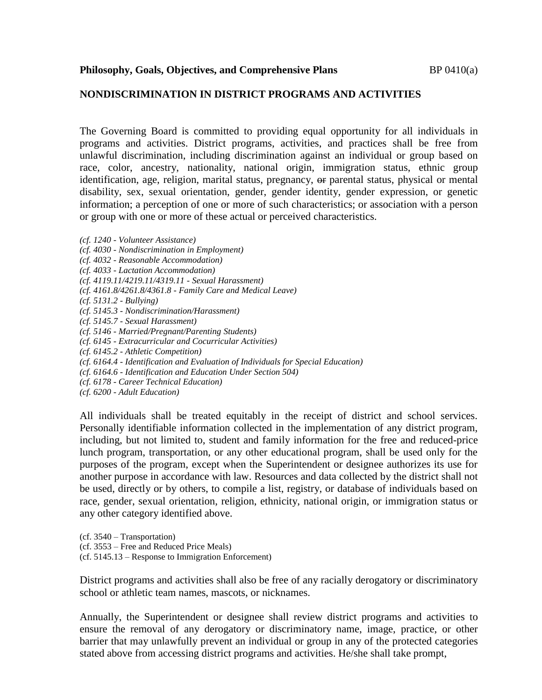## **NONDISCRIMINATION IN DISTRICT PROGRAMS AND ACTIVITIES**

The Governing Board is committed to providing equal opportunity for all individuals in programs and activities. District programs, activities, and practices shall be free from unlawful discrimination, including discrimination against an individual or group based on race, color, ancestry, nationality, national origin, immigration status, ethnic group identification, age, religion, marital status, pregnancy,  $\Theta$ r parental status, physical or mental disability, sex, sexual orientation, gender, gender identity, gender expression, or genetic information; a perception of one or more of such characteristics; or association with a person or group with one or more of these actual or perceived characteristics.

- *(cf. 1240 - Volunteer Assistance)*
- *(cf. 4030 - Nondiscrimination in Employment)*
- *(cf. 4032 - Reasonable Accommodation)*
- *(cf. 4033 - Lactation Accommodation)*
- *(cf. 4119.11/4219.11/4319.11 - Sexual Harassment)*
- *(cf. 4161.8/4261.8/4361.8 - Family Care and Medical Leave)*
- *(cf. 5131.2 - Bullying)*
- *(cf. 5145.3 - Nondiscrimination/Harassment)*
- *(cf. 5145.7 - Sexual Harassment)*
- *(cf. 5146 - Married/Pregnant/Parenting Students)*
- *(cf. 6145 - Extracurricular and Cocurricular Activities)*
- *(cf. 6145.2 - Athletic Competition)*
- *(cf. 6164.4 - Identification and Evaluation of Individuals for Special Education)*
- *(cf. 6164.6 - Identification and Education Under Section 504)*
- *(cf. 6178 - Career Technical Education)*
- *(cf. 6200 - Adult Education)*

All individuals shall be treated equitably in the receipt of district and school services. Personally identifiable information collected in the implementation of any district program, including, but not limited to, student and family information for the free and reduced-price lunch program, transportation, or any other educational program, shall be used only for the purposes of the program, except when the Superintendent or designee authorizes its use for another purpose in accordance with law. Resources and data collected by the district shall not be used, directly or by others, to compile a list, registry, or database of individuals based on race, gender, sexual orientation, religion, ethnicity, national origin, or immigration status or any other category identified above.

(cf. 3540 – Transportation) (cf. 3553 – Free and Reduced Price Meals) (cf. 5145.13 – Response to Immigration Enforcement)

District programs and activities shall also be free of any racially derogatory or discriminatory school or athletic team names, mascots, or nicknames.

Annually, the Superintendent or designee shall review district programs and activities to ensure the removal of any derogatory or discriminatory name, image, practice, or other barrier that may unlawfully prevent an individual or group in any of the protected categories stated above from accessing district programs and activities. He/she shall take prompt,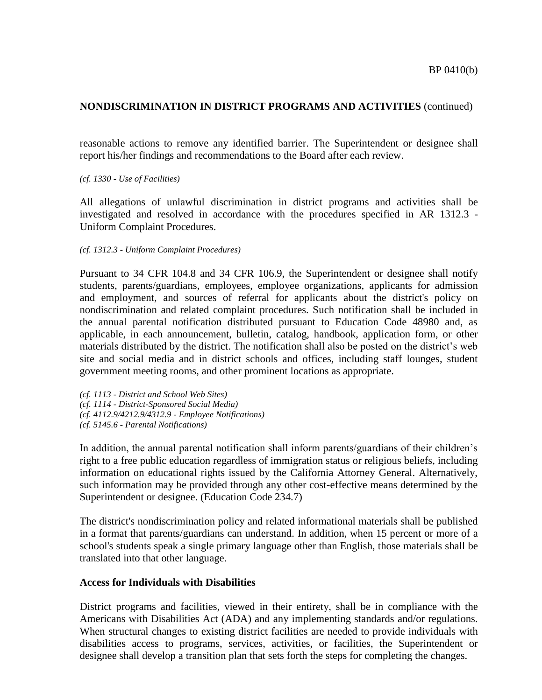reasonable actions to remove any identified barrier. The Superintendent or designee shall report his/her findings and recommendations to the Board after each review.

### *(cf. 1330 - Use of Facilities)*

All allegations of unlawful discrimination in district programs and activities shall be investigated and resolved in accordance with the procedures specified in AR 1312.3 - Uniform Complaint Procedures.

### *(cf. 1312.3 - Uniform Complaint Procedures)*

Pursuant to 34 CFR 104.8 and 34 CFR 106.9, the Superintendent or designee shall notify students, parents/guardians, employees, employee organizations, applicants for admission and employment, and sources of referral for applicants about the district's policy on nondiscrimination and related complaint procedures. Such notification shall be included in the annual parental notification distributed pursuant to Education Code 48980 and, as applicable, in each announcement, bulletin, catalog, handbook, application form, or other materials distributed by the district. The notification shall also be posted on the district's web site and social media and in district schools and offices, including staff lounges, student government meeting rooms, and other prominent locations as appropriate.

*(cf. 1113 - District and School Web Sites) (cf. 1114 - District-Sponsored Social Media) (cf. 4112.9/4212.9/4312.9 - Employee Notifications) (cf. 5145.6 - Parental Notifications)*

In addition, the annual parental notification shall inform parents/guardians of their children's right to a free public education regardless of immigration status or religious beliefs, including information on educational rights issued by the California Attorney General. Alternatively, such information may be provided through any other cost-effective means determined by the Superintendent or designee. (Education Code 234.7)

The district's nondiscrimination policy and related informational materials shall be published in a format that parents/guardians can understand. In addition, when 15 percent or more of a school's students speak a single primary language other than English, those materials shall be translated into that other language.

### **Access for Individuals with Disabilities**

District programs and facilities, viewed in their entirety, shall be in compliance with the Americans with Disabilities Act (ADA) and any implementing standards and/or regulations. When structural changes to existing district facilities are needed to provide individuals with disabilities access to programs, services, activities, or facilities, the Superintendent or designee shall develop a transition plan that sets forth the steps for completing the changes.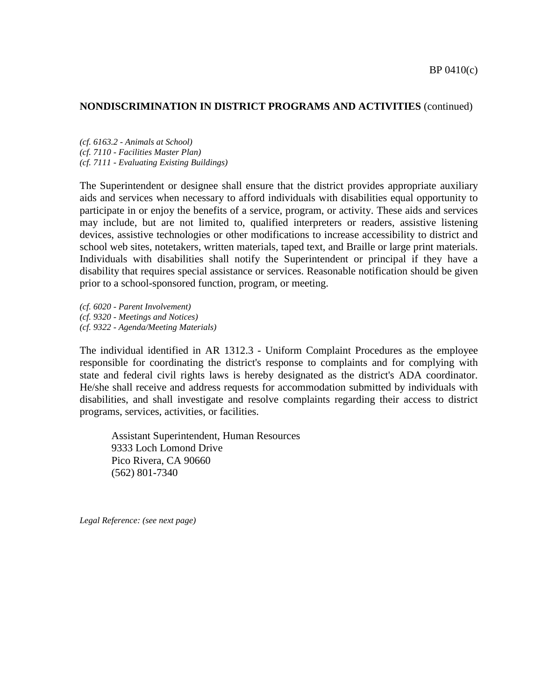*(cf. 6163.2 - Animals at School) (cf. 7110 - Facilities Master Plan) (cf. 7111 - Evaluating Existing Buildings)*

The Superintendent or designee shall ensure that the district provides appropriate auxiliary aids and services when necessary to afford individuals with disabilities equal opportunity to participate in or enjoy the benefits of a service, program, or activity. These aids and services may include, but are not limited to, qualified interpreters or readers, assistive listening devices, assistive technologies or other modifications to increase accessibility to district and school web sites, notetakers, written materials, taped text, and Braille or large print materials. Individuals with disabilities shall notify the Superintendent or principal if they have a disability that requires special assistance or services. Reasonable notification should be given prior to a school-sponsored function, program, or meeting.

*(cf. 6020 - Parent Involvement) (cf. 9320 - Meetings and Notices) (cf. 9322 - Agenda/Meeting Materials)*

The individual identified in AR 1312.3 - Uniform Complaint Procedures as the employee responsible for coordinating the district's response to complaints and for complying with state and federal civil rights laws is hereby designated as the district's ADA coordinator. He/she shall receive and address requests for accommodation submitted by individuals with disabilities, and shall investigate and resolve complaints regarding their access to district programs, services, activities, or facilities.

Assistant Superintendent, Human Resources 9333 Loch Lomond Drive Pico Rivera, CA 90660 (562) 801-7340

*Legal Reference: (see next page)*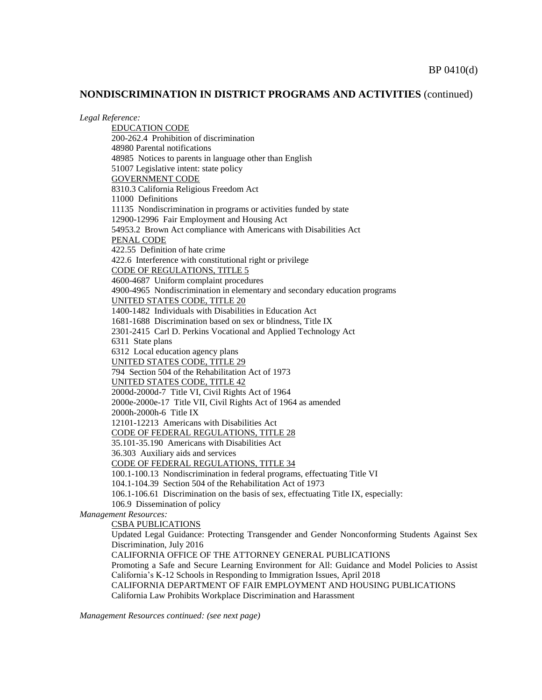*Legal Reference:*

EDUCATION CODE 200-262.4 Prohibition of discrimination 48980 Parental notifications 48985 Notices to parents in language other than English 51007 Legislative intent: state policy GOVERNMENT CODE 8310.3 California Religious Freedom Act 11000 Definitions 11135 Nondiscrimination in programs or activities funded by state 12900-12996 Fair Employment and Housing Act 54953.2 Brown Act compliance with Americans with Disabilities Act PENAL CODE 422.55 Definition of hate crime 422.6 Interference with constitutional right or privilege CODE OF REGULATIONS, TITLE 5 4600-4687 Uniform complaint procedures 4900-4965 Nondiscrimination in elementary and secondary education programs UNITED STATES CODE, TITLE 20 1400-1482 Individuals with Disabilities in Education Act 1681-1688 Discrimination based on sex or blindness, Title IX 2301-2415 Carl D. Perkins Vocational and Applied Technology Act 6311 State plans 6312 Local education agency plans UNITED STATES CODE, TITLE 29 794 Section 504 of the Rehabilitation Act of 1973 UNITED STATES CODE, TITLE 42 2000d-2000d-7 Title VI, Civil Rights Act of 1964 2000e-2000e-17 Title VII, Civil Rights Act of 1964 as amended 2000h-2000h-6 Title IX 12101-12213 Americans with Disabilities Act CODE OF FEDERAL REGULATIONS, TITLE 28 35.101-35.190 Americans with Disabilities Act 36.303 Auxiliary aids and services CODE OF FEDERAL REGULATIONS, TITLE 34 100.1-100.13 Nondiscrimination in federal programs, effectuating Title VI 104.1-104.39 Section 504 of the Rehabilitation Act of 1973 106.1-106.61 Discrimination on the basis of sex, effectuating Title IX, especially: 106.9 Dissemination of policy *Management Resources:* CSBA PUBLICATIONS Updated Legal Guidance: Protecting Transgender and Gender Nonconforming Students Against Sex Discrimination, July 2016 CALIFORNIA OFFICE OF THE ATTORNEY GENERAL PUBLICATIONS Promoting a Safe and Secure Learning Environment for All: Guidance and Model Policies to Assist California's K-12 Schools in Responding to Immigration Issues, April 2018 CALIFORNIA DEPARTMENT OF FAIR EMPLOYMENT AND HOUSING PUBLICATIONS California Law Prohibits Workplace Discrimination and Harassment

*Management Resources continued: (see next page)*